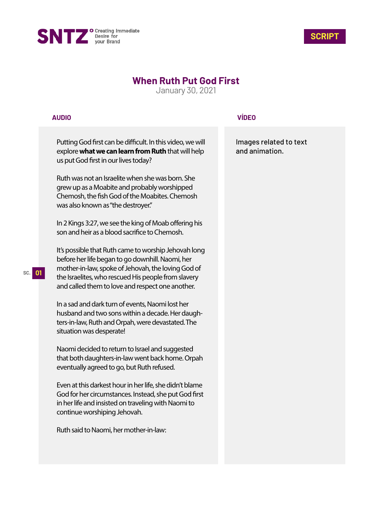



## **When Ruth Put God First**

January 30, 2021

## **AUDIO**

Putting God first can be difficult. In this video, we will explore **what we can learn from Ruth** that will help us put God first in our lives today?

Ruth was not an Israelite when she was born. She grew up as a Moabite and probably worshipped Chemosh, the fish God of the Moabites. Chemosh was also known as "the destroyer."

In 2 Kings 3:27, we see the king of Moab offering his son and heir as a blood sacrifice to Chemosh.

It's possible that Ruth came to worship Jehovah long before her life began to go downhill. Naomi, her mother-in-law, spoke of Jehovah, the loving God of the Israelites, who rescued His people from slavery and called them to love and respect one another.

In a sad and dark turn of events, Naomi lost her husband and two sons within a decade. Her daughters-in-law, Ruth and Orpah, were devastated. The situation was desperate!

Naomi decided to return to Israel and suggested that both daughters-in-law went back home. Orpah eventually agreed to go, but Ruth refused.

Even at this darkest hour in her life, she didn't blame God for her circumstances. Instead, she put God first in her life and insisted on traveling with Naomi to continue worshiping Jehovah.

Ruth said to Naomi, her mother-in-law:

## **VÍDEO**

Images related to text and animation.